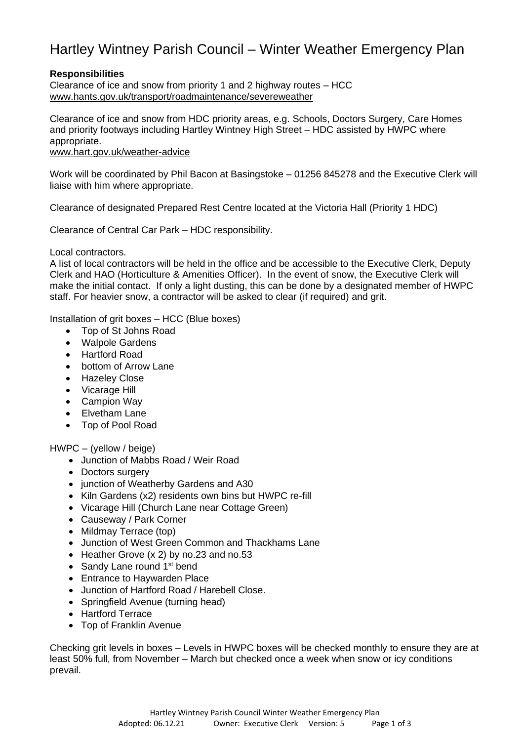# Hartley Wintney Parish Council – Winter Weather Emergency Plan

## **Responsibilities**

Clearance of ice and snow from priority 1 and 2 highway routes – HCC [www.hants.gov.uk/transport/roadmaintenance/severeweather](https://www.hants.gov.uk/transport/roadmaintenance/severeweather)

Clearance of ice and snow from HDC priority areas, e.g. Schools, Doctors Surgery, Care Homes and priority footways including Hartley Wintney High Street – HDC assisted by HWPC where appropriate.

[www.hart.gov.uk/weather-advice](http://www.hart.gov.uk/weather-advice)

Work will be coordinated by Phil Bacon at Basingstoke – 01256 845278 and the Executive Clerk will liaise with him where appropriate.

Clearance of designated Prepared Rest Centre located at the Victoria Hall (Priority 1 HDC)

Clearance of Central Car Park – HDC responsibility.

Local contractors.

A list of local contractors will be held in the office and be accessible to the Executive Clerk, Deputy Clerk and HAO (Horticulture & Amenities Officer). In the event of snow, the Executive Clerk will make the initial contact. If only a light dusting, this can be done by a designated member of HWPC staff. For heavier snow, a contractor will be asked to clear (if required) and grit.

Installation of grit boxes – HCC (Blue boxes)

- Top of St Johns Road
- Walpole Gardens
- Hartford Road
- bottom of Arrow Lane
- Hazeley Close
- Vicarage Hill
- Campion Way
- Elvetham Lane
- Top of Pool Road

HWPC – (yellow / beige)

- Junction of Mabbs Road / Weir Road
- Doctors surgery
- junction of Weatherby Gardens and A30
- Kiln Gardens (x2) residents own bins but HWPC re-fill
- Vicarage Hill (Church Lane near Cottage Green)
- Causeway / Park Corner
- Mildmay Terrace (top)
- Junction of West Green Common and Thackhams Lane
- Heather Grove (x 2) by no.23 and no.53
- Sandy Lane round 1<sup>st</sup> bend
- Entrance to Haywarden Place
- Junction of Hartford Road / Harebell Close.
- Springfield Avenue (turning head)
- Hartford Terrace
- Top of Franklin Avenue

Checking grit levels in boxes – Levels in HWPC boxes will be checked monthly to ensure they are at least 50% full, from November – March but checked once a week when snow or icy conditions prevail.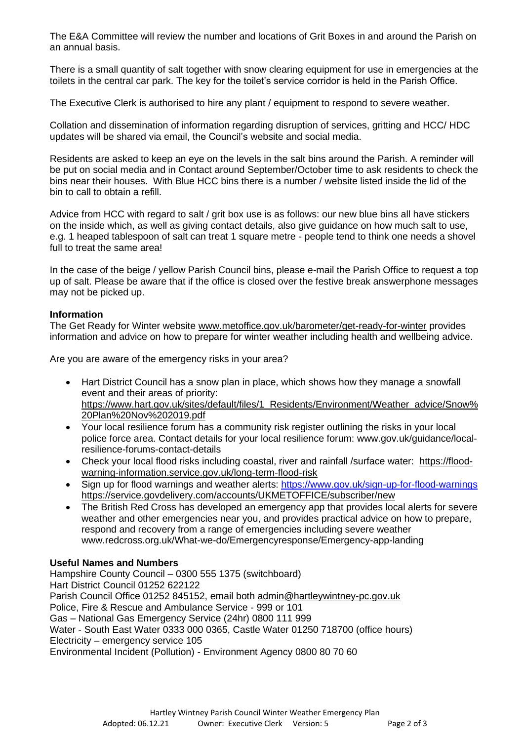The E&A Committee will review the number and locations of Grit Boxes in and around the Parish on an annual basis.

There is a small quantity of salt together with snow clearing equipment for use in emergencies at the toilets in the central car park. The key for the toilet's service corridor is held in the Parish Office.

The Executive Clerk is authorised to hire any plant / equipment to respond to severe weather.

Collation and dissemination of information regarding disruption of services, gritting and HCC/ HDC updates will be shared via email, the Council's website and social media.

Residents are asked to keep an eye on the levels in the salt bins around the Parish. A reminder will be put on social media and in Contact around September/October time to ask residents to check the bins near their houses. With Blue HCC bins there is a number / website listed inside the lid of the bin to call to obtain a refill.

Advice from HCC with regard to salt / grit box use is as follows: our new blue bins all have stickers on the inside which, as well as giving contact details, also give guidance on how much salt to use, e.g. 1 heaped tablespoon of salt can treat 1 square metre - people tend to think one needs a shovel full to treat the same area!

In the case of the beige / yellow Parish Council bins, please e-mail the Parish Office to request a top up of salt. Please be aware that if the office is closed over the festive break answerphone messages may not be picked up.

## **Information**

The Get Ready for Winter website [www.metoffice.gov.uk/barometer/get-ready-for-winter](http://www.metoffice.gov.uk/barometer/get-ready-for-winter) provides information and advice on how to prepare for winter weather including health and wellbeing advice.

Are you are aware of the emergency risks in your area?

- Hart District Council has a snow plan in place, which shows how they manage a snowfall event and their areas of priority: [https://www.hart.gov.uk/sites/default/files/1\\_Residents/Environment/Weather\\_advice/Snow%](https://www.hart.gov.uk/sites/default/files/1_Residents/Environment/Weather_advice/Snow%20Plan%20Nov%202019.pdf) [20Plan%20Nov%202019.pdf](https://www.hart.gov.uk/sites/default/files/1_Residents/Environment/Weather_advice/Snow%20Plan%20Nov%202019.pdf)
- Your local resilience forum has a community risk register outlining the risks in your local police force area. Contact details for your local resilience forum: www.gov.uk/guidance/localresilience-forums-contact-details
- Check your local flood risks including coastal, river and rainfall /surface water: [https://flood](https://flood-warning-information.service.gov.uk/long-term-flood-risk)[warning-information.service.gov.uk/long-term-flood-risk](https://flood-warning-information.service.gov.uk/long-term-flood-risk)
- Sign up for flood warnings and weather alerts: <https://www.gov.uk/sign-up-for-flood-warnings> <https://service.govdelivery.com/accounts/UKMETOFFICE/subscriber/new>
- The British Red Cross has developed an emergency app that provides local alerts for severe weather and other emergencies near you, and provides practical advice on how to prepare, respond and recovery from a range of emergencies including severe weather www.redcross.org.uk/What-we-do/Emergencyresponse/Emergency-app-landing

## **Useful Names and Numbers**

Hampshire County Council – 0300 555 1375 (switchboard) Hart District Council 01252 622122 Parish Council Office 01252 845152, email both [admin@hartleywintney-pc.gov.uk](mailto:admin@hartleywintney-pc.gov.uk) Police, Fire & Rescue and Ambulance Service - 999 or 101 Gas – National Gas Emergency Service (24hr) 0800 111 999 Water - South East Water 0333 000 0365, Castle Water 01250 718700 (office hours) Electricity – emergency service 105 Environmental Incident (Pollution) - Environment Agency 0800 80 70 60